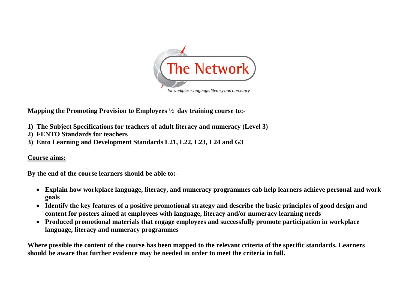

**Mapping the Promoting Provision to Employees ½ day training course to:-** 

- **1) The Subject Specifications for teachers of adult literacy and numeracy (Level 3)**
- **2) FENTO Standards for teachers**
- **3) Ento Learning and Development Standards L21, L22, L23, L24 and G3**

## **Course aims:**

**By the end of the course learners should be able to:-** 

- **Explain how workplace language, literacy, and numeracy programmes cab help learners achieve personal and work goals**
- **Identify the key features of a positive promotional strategy and describe the basic principles of good design and content for posters aimed at employees with language, literacy and/or numeracy learning needs**
- **Produced promotional materials that engage employees and successfully promote participation in workplace language, literacy and numeracy programmes**

**Where possible the content of the course has been mapped to the relevant criteria of the specific standards. Learners should be aware that further evidence may be needed in order to meet the criteria in full.**